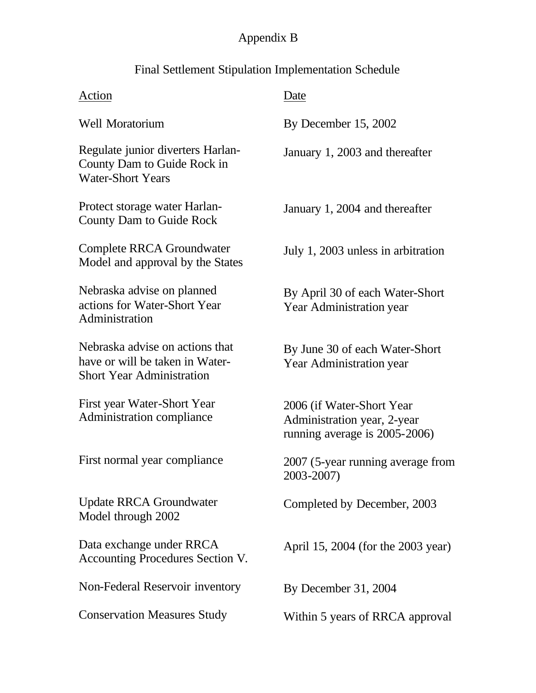## Appendix B

## Final Settlement Stipulation Implementation Schedule

| Action                                                                                                 | Date                                                                                       |
|--------------------------------------------------------------------------------------------------------|--------------------------------------------------------------------------------------------|
| <b>Well Moratorium</b>                                                                                 | By December 15, 2002                                                                       |
| Regulate junior diverters Harlan-<br>County Dam to Guide Rock in<br><b>Water-Short Years</b>           | January 1, 2003 and thereafter                                                             |
| Protect storage water Harlan-<br><b>County Dam to Guide Rock</b>                                       | January 1, 2004 and thereafter                                                             |
| Complete RRCA Groundwater<br>Model and approval by the States                                          | July 1, 2003 unless in arbitration                                                         |
| Nebraska advise on planned<br>actions for Water-Short Year<br>Administration                           | By April 30 of each Water-Short<br>Year Administration year                                |
| Nebraska advise on actions that<br>have or will be taken in Water-<br><b>Short Year Administration</b> | By June 30 of each Water-Short<br>Year Administration year                                 |
| First year Water-Short Year<br>Administration compliance                                               | 2006 (if Water-Short Year)<br>Administration year, 2-year<br>running average is 2005-2006) |
| First normal year compliance                                                                           | 2007 (5-year running average from<br>2003-2007)                                            |
| <b>Update RRCA Groundwater</b><br>Model through 2002                                                   | Completed by December, 2003                                                                |
| Data exchange under RRCA<br>Accounting Procedures Section V.                                           | April 15, 2004 (for the 2003 year)                                                         |
| Non-Federal Reservoir inventory                                                                        | By December 31, 2004                                                                       |
| <b>Conservation Measures Study</b>                                                                     | Within 5 years of RRCA approval                                                            |